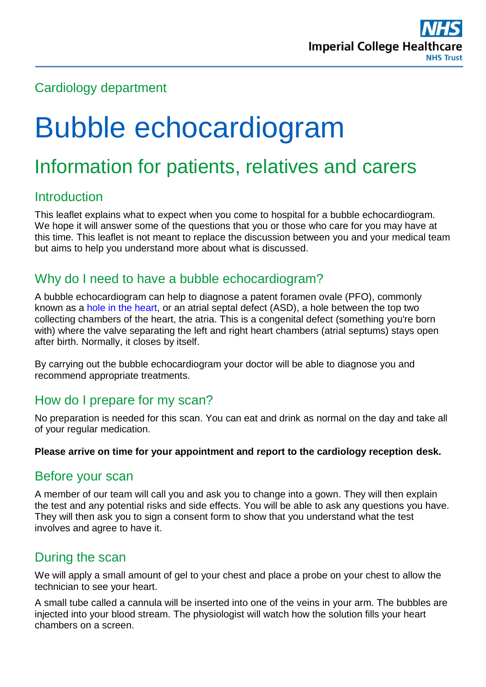

# Cardiology department

# Bubble echocardiogram

# Information for patients, relatives and carers

# **Introduction**

This leaflet explains what to expect when you come to hospital for a bubble echocardiogram. We hope it will answer some of the questions that you or those who care for you may have at this time. This leaflet is not meant to replace the discussion between you and your medical team but aims to help you understand more about what is discussed.

# Why do I need to have a bubble echocardiogram?

A bubble echocardiogram can help to diagnose a patent foramen ovale (PFO), commonly known as a [hole in the heart,](https://www.nhs.uk/flashcont/altflash/8544_NHS-Holeintheheartexpert-0101-EN-16x9_NHS984.htm) or an atrial septal defect (ASD), a hole between the top two collecting chambers of the heart, the atria. This is a congenital defect (something you're born with) where the valve separating the left and right heart chambers (atrial septums) stays open after birth. Normally, it closes by itself.

By carrying out the bubble echocardiogram your doctor will be able to diagnose you and recommend appropriate treatments.

# How do I prepare for my scan?

No preparation is needed for this scan. You can eat and drink as normal on the day and take all of your regular medication.

#### **Please arrive on time for your appointment and report to the cardiology reception desk.**

#### Before your scan

A member of our team will call you and ask you to change into a gown. They will then explain the test and any potential risks and side effects. You will be able to ask any questions you have. They will then ask you to sign a consent form to show that you understand what the test involves and agree to have it.

# During the scan

We will apply a small amount of gel to your chest and place a probe on your chest to allow the technician to see your heart.

A small tube called a cannula will be inserted into one of the veins in your arm. The bubbles are injected into your blood stream. The physiologist will watch how the solution fills your heart chambers on a screen.